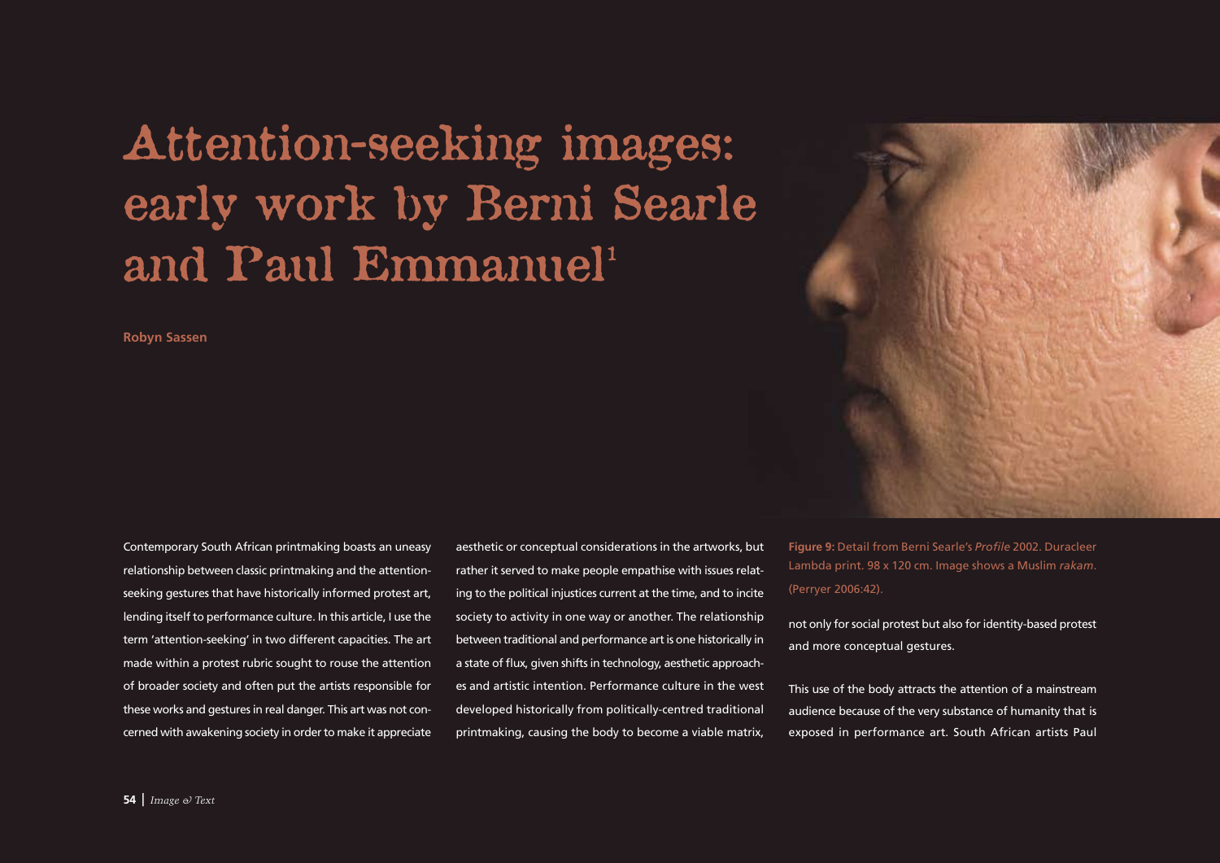## Attention-seeking images: early work by Berni Searle and Paul Emmanuel<sup>1</sup>

**Robyn Sassen**

Contemporary South African printmaking boasts an uneasy relationship between classic printmaking and the attentionseeking gestures that have historically informed protest art, lending itself to performance culture. In this article, I use the term 'attention-seeking' in two different capacities. The art made within a protest rubric sought to rouse the attention of broader society and often put the artists responsible for these works and gestures in real danger. This art was not concerned with awakening society in order to make it appreciate

aesthetic or conceptual considerations in the artworks, but rather it served to make people empathise with issues relating to the political injustices current at the time, and to incite society to activity in one way or another. The relationship between traditional and performance art is one historically in a state of flux, given shifts in technology, aesthetic approaches and artistic intention. Performance culture in the west developed historically from politically-centred traditional printmaking, causing the body to become a viable matrix,

**Figure 9:** Detail from Berni Searle's *Profile* 2002. Duracleer Lambda print. 98 x 120 cm. Image shows a Muslim *rakam*. (Perryer 2006:42).

not only for social protest but also for identity-based protest and more conceptual gestures.

This use of the body attracts the attention of a mainstream audience because of the very substance of humanity that is exposed in performance art. South African artists Paul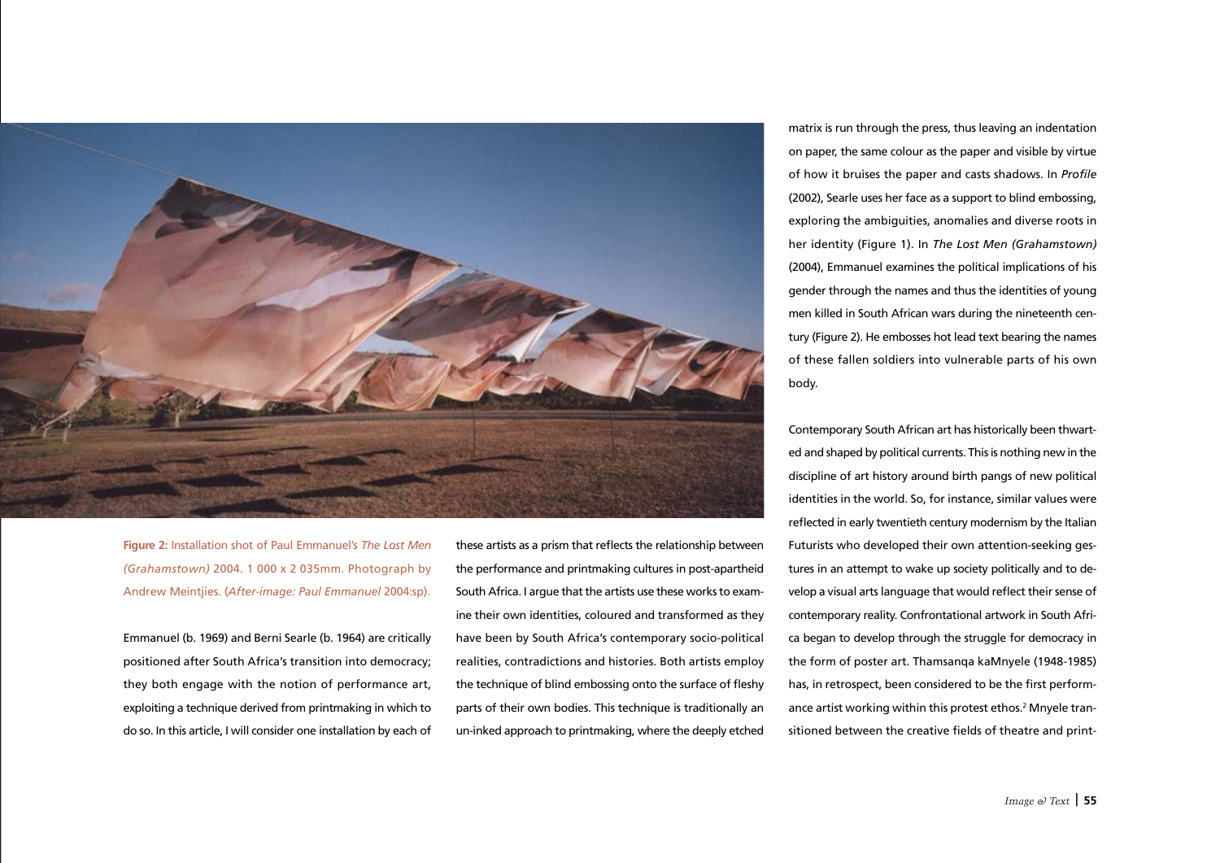

**Figure 2:** Installation shot of Paul Emmanuel's *The Lost Men (Grahamstown)* 2004. 1 000 x 2 035mm. Photograph by Andrew Meintjies. (*After-image: Paul Emmanuel* 2004:sp).

Emmanuel (b. 1969) and Berni Searle (b. 1964) are critically positioned after South Africa's transition into democracy; they both engage with the notion of performance art, exploiting a technique derived from printmaking in which to do so. In this article, I will consider one installation by each of these artists as a prism that reflects the relationship between the performance and printmaking cultures in post-apartheid South Africa. I argue that the artists use these works to examine their own identities, coloured and transformed as they have been by South Africa's contemporary socio-political realities, contradictions and histories. Both artists employ the technique of blind embossing onto the surface of fleshy parts of their own bodies. This technique is traditionally an un-inked approach to printmaking, where the deeply etched matrix is run through the press, thus leaving an indentation on paper, the same colour as the paper and visible by virtue of how it bruises the paper and casts shadows. In *Profile* (2002), Searle uses her face as a support to blind embossing, exploring the ambiguities, anomalies and diverse roots in her identity (Figure 1). In *The Lost Men (Grahamstown)*  (2004), Emmanuel examines the political implications of his gender through the names and thus the identities of young men killed in South African wars during the nineteenth century (Figure 2). He embosses hot lead text bearing the names of these fallen soldiers into vulnerable parts of his own body.

Contemporary South African art has historically been thwarted and shaped by political currents. This is nothing new in the discipline of art history around birth pangs of new political identities in the world. So, for instance, similar values were reflected in early twentieth century modernism by the Italian Futurists who developed their own attention-seeking gestures in an attempt to wake up society politically and to develop a visual arts language that would reflect their sense of contemporary reality. Confrontational artwork in South Africa began to develop through the struggle for democracy in the form of poster art. Thamsanqa kaMnyele (1948-1985) has, in retrospect, been considered to be the first performance artist working within this protest ethos.<sup>2</sup> Mnyele transitioned between the creative fields of theatre and print-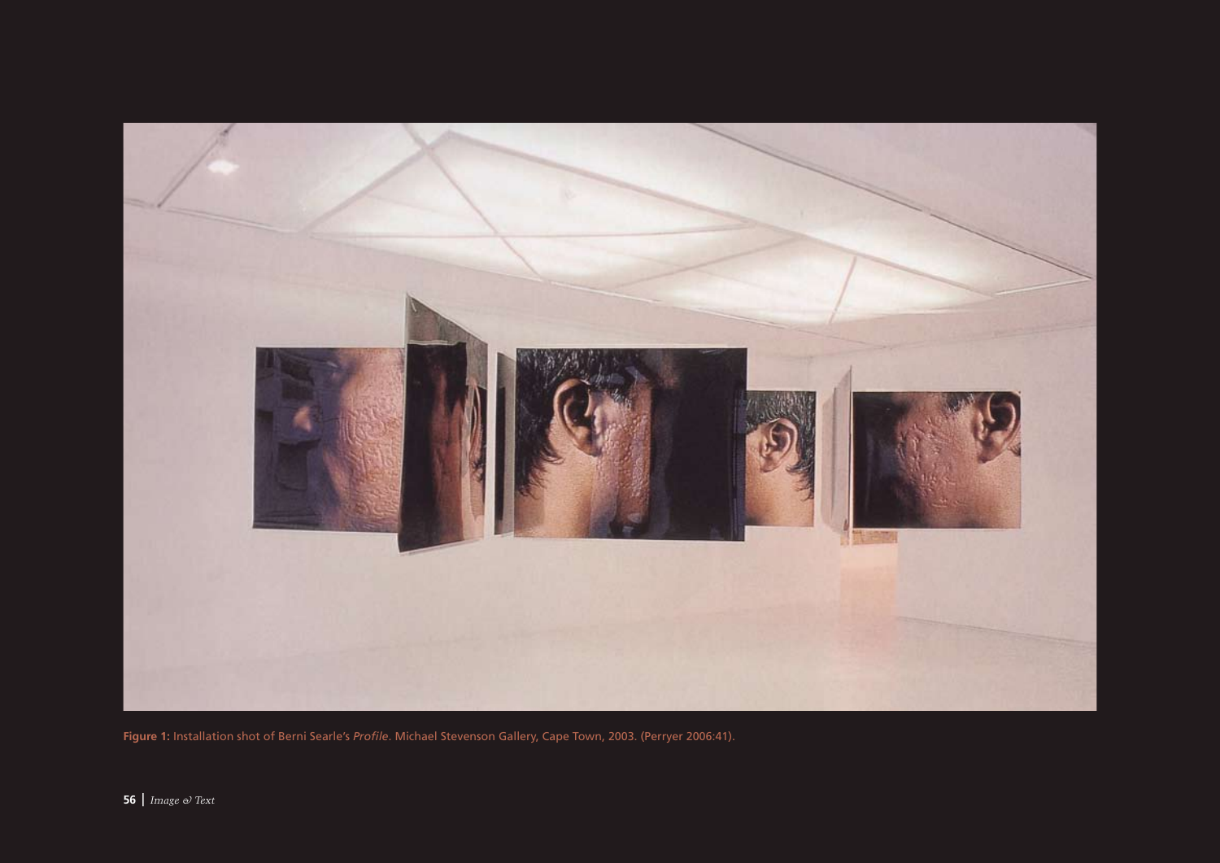

**Figure 1:** Installation shot of Berni Searle's *Profile*. Michael Stevenson Gallery, Cape Town, 2003. (Perryer 2006:41).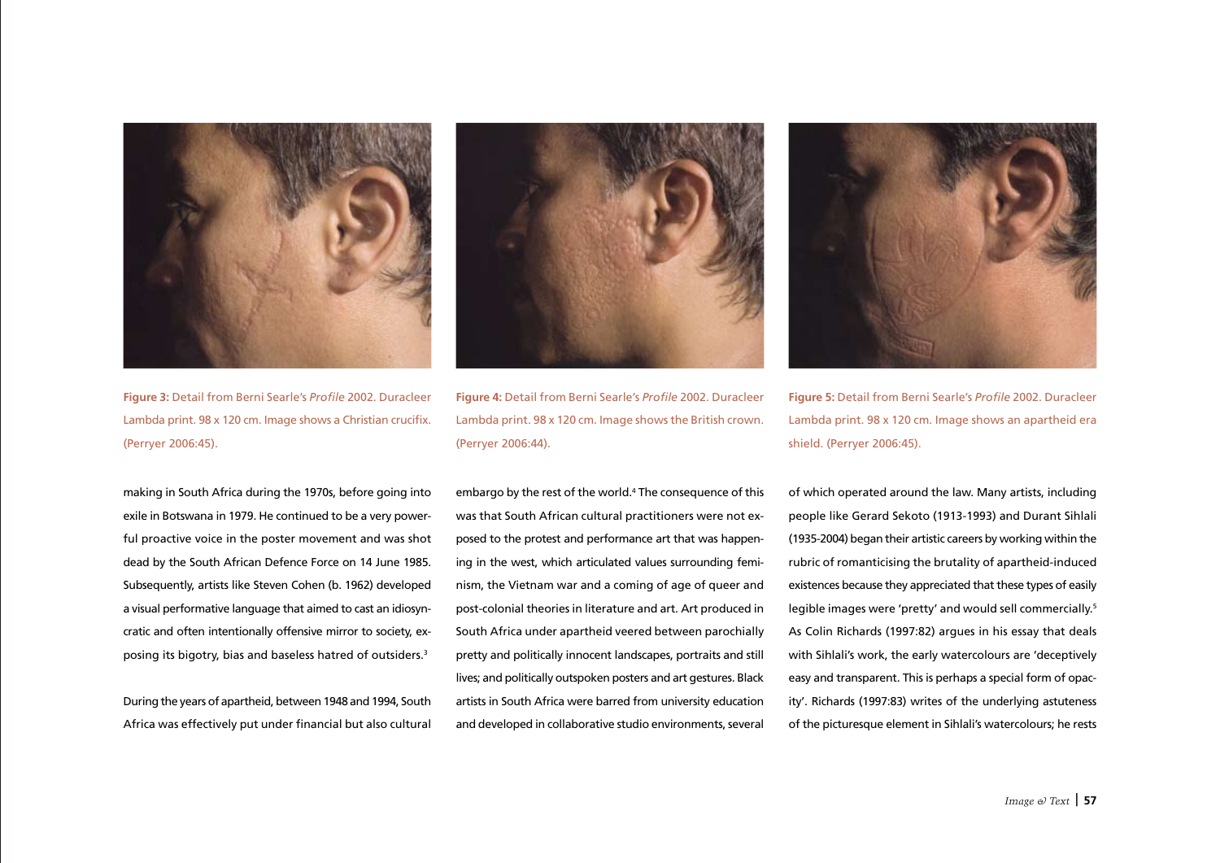

**Figure 3:** Detail from Berni Searle's *Profile* 2002. Duracleer Lambda print. 98 x 120 cm. Image shows a Christian crucifix. (Perryer 2006:45).

making in South Africa during the 1970s, before going into exile in Botswana in 1979. He continued to be a very powerful proactive voice in the poster movement and was shot dead by the South African Defence Force on 14 June 1985. Subsequently, artists like Steven Cohen (b. 1962) developed a visual performative language that aimed to cast an idiosyncratic and often intentionally offensive mirror to society, exposing its bigotry, bias and baseless hatred of outsiders.3

During the years of apartheid, between 1948 and 1994, South Africa was effectively put under financial but also cultural



**Figure 4:** Detail from Berni Searle's *Profile* 2002. Duracleer Lambda print. 98 x 120 cm. Image shows the British crown. (Perryer 2006:44).

embargo by the rest of the world.<sup>4</sup> The consequence of this was that South African cultural practitioners were not exposed to the protest and performance art that was happening in the west, which articulated values surrounding feminism, the Vietnam war and a coming of age of queer and post-colonial theories in literature and art. Art produced in South Africa under apartheid veered between parochially pretty and politically innocent landscapes, portraits and still lives; and politically outspoken posters and art gestures. Black artists in South Africa were barred from university education and developed in collaborative studio environments, several



**Figure 5:** Detail from Berni Searle's *Profile* 2002. Duracleer Lambda print. 98 x 120 cm. Image shows an apartheid era shield. (Perryer 2006:45).

of which operated around the law. Many artists, including people like Gerard Sekoto (1913-1993) and Durant Sihlali (1935-2004) began their artistic careers by working within the rubric of romanticising the brutality of apartheid-induced existences because they appreciated that these types of easily legible images were 'pretty' and would sell commercially.<sup>5</sup> As Colin Richards (1997:82) argues in his essay that deals with Sihlali's work, the early watercolours are 'deceptively easy and transparent. This is perhaps a special form of opacity'. Richards (1997:83) writes of the underlying astuteness of the picturesque element in Sihlali's watercolours; he rests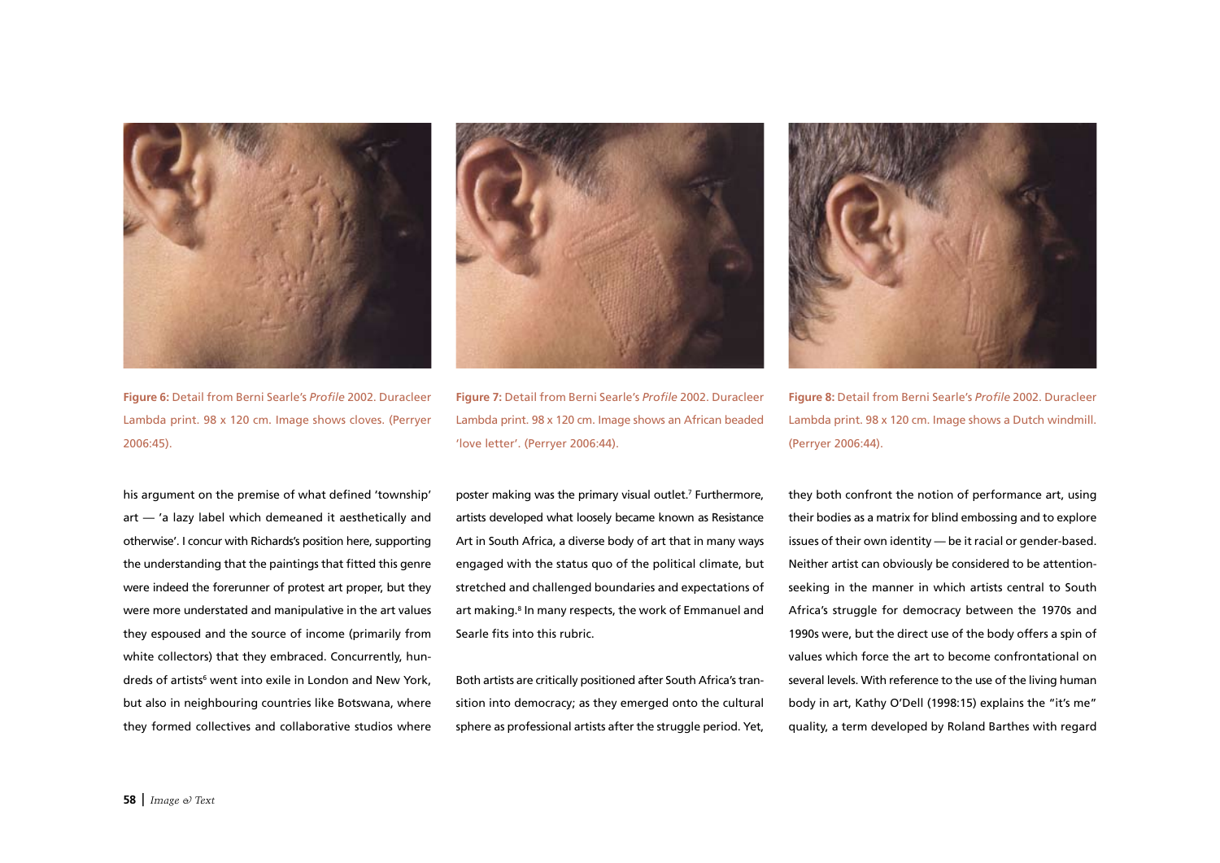

**Figure 6:** Detail from Berni Searle's *Profile* 2002. Duracleer Lambda print. 98 x 120 cm. Image shows cloves. (Perryer 2006:45).



**Figure 7:** Detail from Berni Searle's *Profile* 2002. Duracleer Lambda print. 98 x 120 cm. Image shows an African beaded 'love letter'. (Perryer 2006:44).



poster making was the primary visual outlet.7 Furthermore, artists developed what loosely became known as Resistance Art in South Africa, a diverse body of art that in many ways engaged with the status quo of the political climate, but stretched and challenged boundaries and expectations of art making.<sup>8</sup> In many respects, the work of Emmanuel and Searle fits into this rubric.

Both artists are critically positioned after South Africa's transition into democracy; as they emerged onto the cultural sphere as professional artists after the struggle period. Yet,



**Figure 8:** Detail from Berni Searle's *Profile* 2002. Duracleer Lambda print. 98 x 120 cm. Image shows a Dutch windmill. (Perryer 2006:44).

they both confront the notion of performance art, using their bodies as a matrix for blind embossing and to explore issues of their own identity — be it racial or gender-based. Neither artist can obviously be considered to be attentionseeking in the manner in which artists central to South Africa's struggle for democracy between the 1970s and 1990s were, but the direct use of the body offers a spin of values which force the art to become confrontational on several levels. With reference to the use of the living human body in art, Kathy O'Dell (1998:15) explains the "it's me" quality, a term developed by Roland Barthes with regard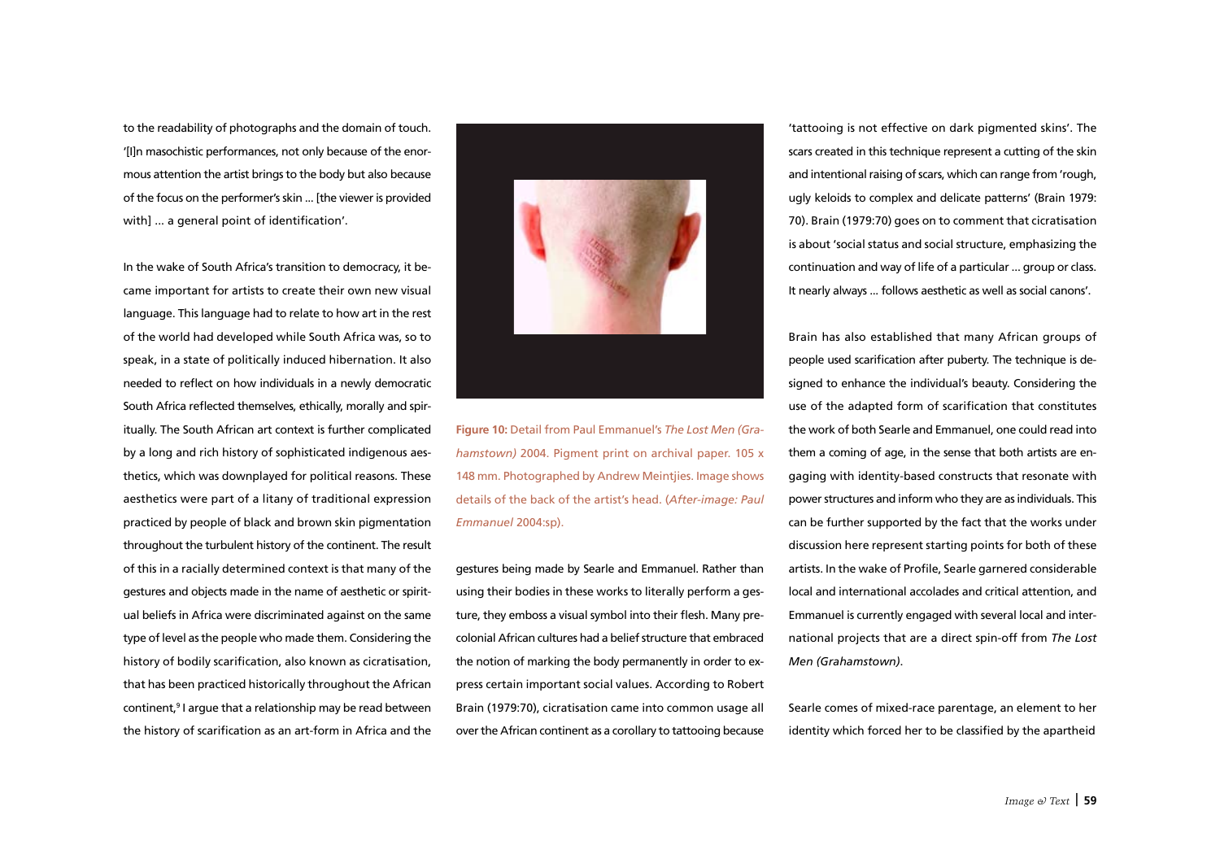to the readability of photographs and the domain of touch. '[I]n masochistic performances, not only because of the enormous attention the artist brings to the body but also because of the focus on the performer's skin ... [the viewer is provided with] ... a general point of identification'.

In the wake of South Africa's transition to democracy, it became important for artists to create their own new visual language. This language had to relate to how art in the rest of the world had developed while South Africa was, so to speak, in a state of politically induced hibernation. It also needed to reflect on how individuals in a newly democratic South Africa reflected themselves, ethically, morally and spiritually. The South African art context is further complicated by a long and rich history of sophisticated indigenous aesthetics, which was downplayed for political reasons. These aesthetics were part of a litany of traditional expression practiced by people of black and brown skin pigmentation throughout the turbulent history of the continent. The result of this in a racially determined context is that many of the gestures and objects made in the name of aesthetic or spiritual beliefs in Africa were discriminated against on the same type of level as the people who made them. Considering the history of bodily scarification, also known as cicratisation, that has been practiced historically throughout the African continent,<sup>9</sup> I argue that a relationship may be read between the history of scarification as an art-form in Africa and the



**Figure 10:** Detail from Paul Emmanuel's *The Lost Men (Grahamstown)* 2004. Pigment print on archival paper. 105 x 148 mm. Photographed by Andrew Meintjies. Image shows details of the back of the artist's head. (*After-image: Paul Emmanuel* 2004:sp).

gestures being made by Searle and Emmanuel. Rather than using their bodies in these works to literally perform a gesture, they emboss a visual symbol into their flesh. Many precolonial African cultures had a belief structure that embraced the notion of marking the body permanently in order to express certain important social values. According to Robert Brain (1979:70), cicratisation came into common usage all over the African continent as a corollary to tattooing because

'tattooing is not effective on dark pigmented skins'. The scars created in this technique represent a cutting of the skin and intentional raising of scars, which can range from 'rough, ugly keloids to complex and delicate patterns' (Brain 1979: 70). Brain (1979:70) goes on to comment that cicratisation is about 'social status and social structure, emphasizing the continuation and way of life of a particular ... group or class. It nearly always ... follows aesthetic as well as social canons'.

Brain has also established that many African groups of people used scarification after puberty. The technique is designed to enhance the individual's beauty. Considering the use of the adapted form of scarification that constitutes the work of both Searle and Emmanuel, one could read into them a coming of age, in the sense that both artists are engaging with identity-based constructs that resonate with power structures and inform who they are as individuals. This can be further supported by the fact that the works under discussion here represent starting points for both of these artists. In the wake of Profile, Searle garnered considerable local and international accolades and critical attention, and Emmanuel is currently engaged with several local and international projects that are a direct spin-off from *The Lost Men (Grahamstown)*.

Searle comes of mixed-race parentage, an element to her identity which forced her to be classified by the apartheid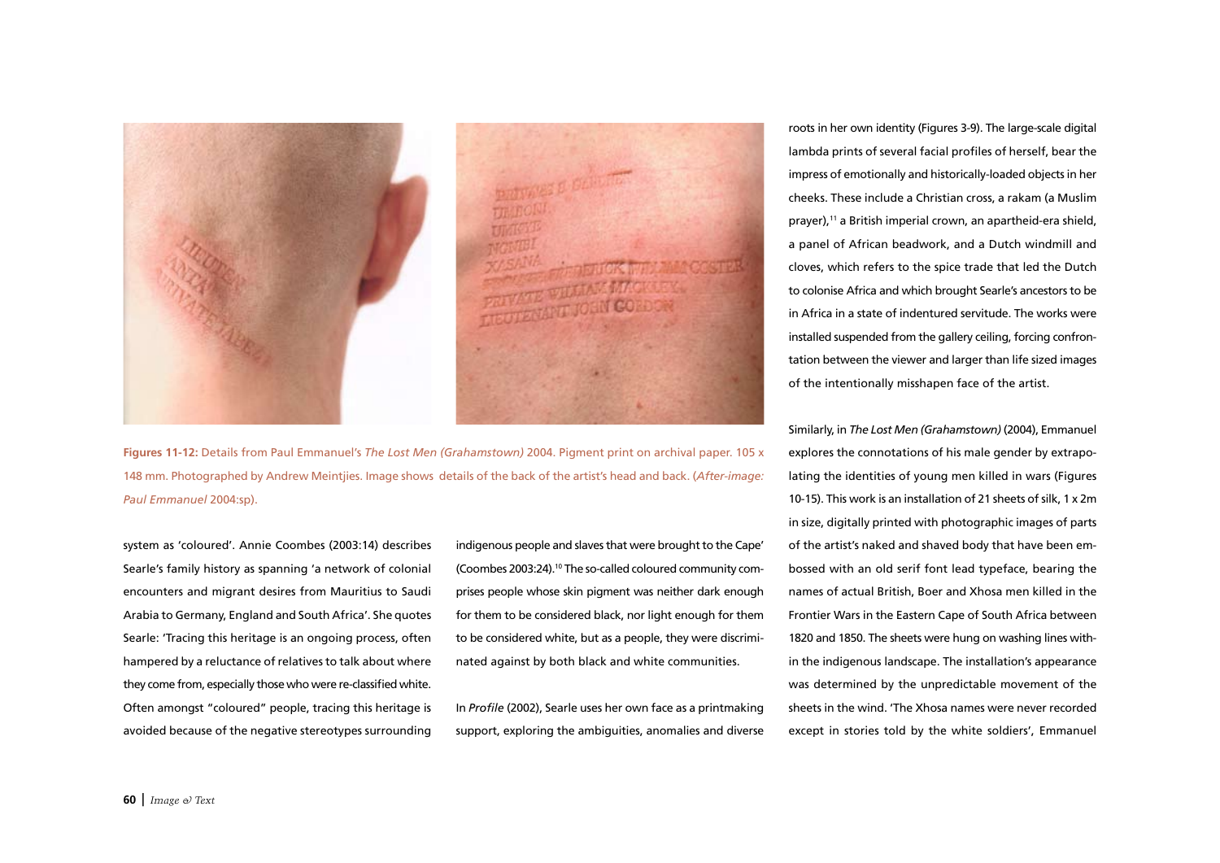

**Figures 11-12:** Details from Paul Emmanuel's *The Lost Men (Grahamstown)* 2004. Pigment print on archival paper. 105 x 148 mm. Photographed by Andrew Meintjies. Image shows details of the back of the artist's head and back. (*After-image: Paul Emmanuel* 2004:sp).

system as 'coloured'. Annie Coombes (2003:14) describes Searle's family history as spanning 'a network of colonial encounters and migrant desires from Mauritius to Saudi Arabia to Germany, England and South Africa'. She quotes Searle: 'Tracing this heritage is an ongoing process, often hampered by a reluctance of relatives to talk about where they come from, especially those who were re-classified white. Often amongst "coloured" people, tracing this heritage is avoided because of the negative stereotypes surrounding

indigenous people and slaves that were brought to the Cape' (Coombes 2003:24).10 The so-called coloured community comprises people whose skin pigment was neither dark enough for them to be considered black, nor light enough for them to be considered white, but as a people, they were discriminated against by both black and white communities.

In *Profile* (2002), Searle uses her own face as a printmaking support, exploring the ambiguities, anomalies and diverse roots in her own identity (Figures 3-9). The large-scale digital lambda prints of several facial profiles of herself, bear the impress of emotionally and historically-loaded objects in her cheeks. These include a Christian cross, a rakam (a Muslim prayer),11 a British imperial crown, an apartheid-era shield, a panel of African beadwork, and a Dutch windmill and cloves, which refers to the spice trade that led the Dutch to colonise Africa and which brought Searle's ancestors to be in Africa in a state of indentured servitude. The works were installed suspended from the gallery ceiling, forcing confrontation between the viewer and larger than life sized images of the intentionally misshapen face of the artist.

Similarly, in *The Lost Men (Grahamstown)* (2004), Emmanuel explores the connotations of his male gender by extrapolating the identities of young men killed in wars (Figures 10-15). This work is an installation of 21 sheets of silk, 1 x 2m in size, digitally printed with photographic images of parts of the artist's naked and shaved body that have been embossed with an old serif font lead typeface, bearing the names of actual British, Boer and Xhosa men killed in the Frontier Wars in the Eastern Cape of South Africa between 1820 and 1850. The sheets were hung on washing lines within the indigenous landscape. The installation's appearance was determined by the unpredictable movement of the sheets in the wind. 'The Xhosa names were never recorded except in stories told by the white soldiers', Emmanuel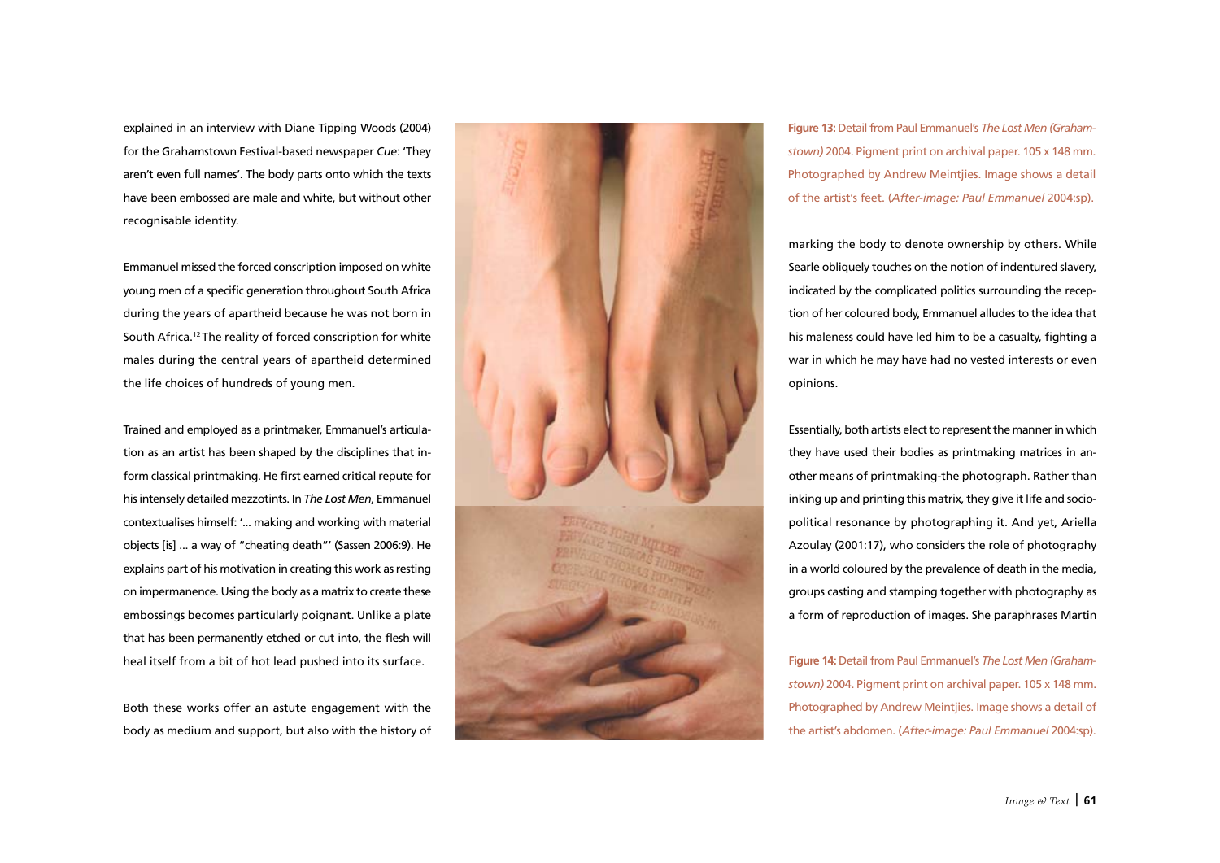explained in an interview with Diane Tipping Woods (2004) for the Grahamstown Festival-based newspaper *Cue*: 'They aren't even full names'. The body parts onto which the texts have been embossed are male and white, but without other recognisable identity.

Emmanuel missed the forced conscription imposed on white young men of a specific generation throughout South Africa during the years of apartheid because he was not born in South Africa.12 The reality of forced conscription for white males during the central years of apartheid determined the life choices of hundreds of young men.

Trained and employed as a printmaker, Emmanuel's articulation as an artist has been shaped by the disciplines that inform classical printmaking. He first earned critical repute for his intensely detailed mezzotints. In *The Lost Men*, Emmanuel contextualises himself: '... making and working with material objects [is] ... a way of "cheating death"' (Sassen 2006:9). He explains part of his motivation in creating this work as resting on impermanence. Using the body as a matrix to create these embossings becomes particularly poignant. Unlike a plate that has been permanently etched or cut into, the flesh will heal itself from a bit of hot lead pushed into its surface.

Both these works offer an astute engagement with the body as medium and support, but also with the history of



**Figure 13:** Detail from Paul Emmanuel's *The Lost Men (Grahamstown)* 2004. Pigment print on archival paper. 105 x 148 mm. Photographed by Andrew Meintjies. Image shows a detail of the artist's feet. (*After-image: Paul Emmanuel* 2004:sp).

marking the body to denote ownership by others. While Searle obliquely touches on the notion of indentured slavery, indicated by the complicated politics surrounding the reception of her coloured body, Emmanuel alludes to the idea that his maleness could have led him to be a casualty, fighting a war in which he may have had no vested interests or even opinions.

Essentially, both artists elect to represent the manner in which they have used their bodies as printmaking matrices in another means of printmaking-the photograph. Rather than inking up and printing this matrix, they give it life and sociopolitical resonance by photographing it. And yet, Ariella Azoulay (2001:17), who considers the role of photography in a world coloured by the prevalence of death in the media, groups casting and stamping together with photography as a form of reproduction of images. She paraphrases Martin

**Figure 14:** Detail from Paul Emmanuel's *The Lost Men (Grahamstown)* 2004. Pigment print on archival paper. 105 x 148 mm. Photographed by Andrew Meintjies. Image shows a detail of the artist's abdomen. (*After-image: Paul Emmanuel* 2004:sp).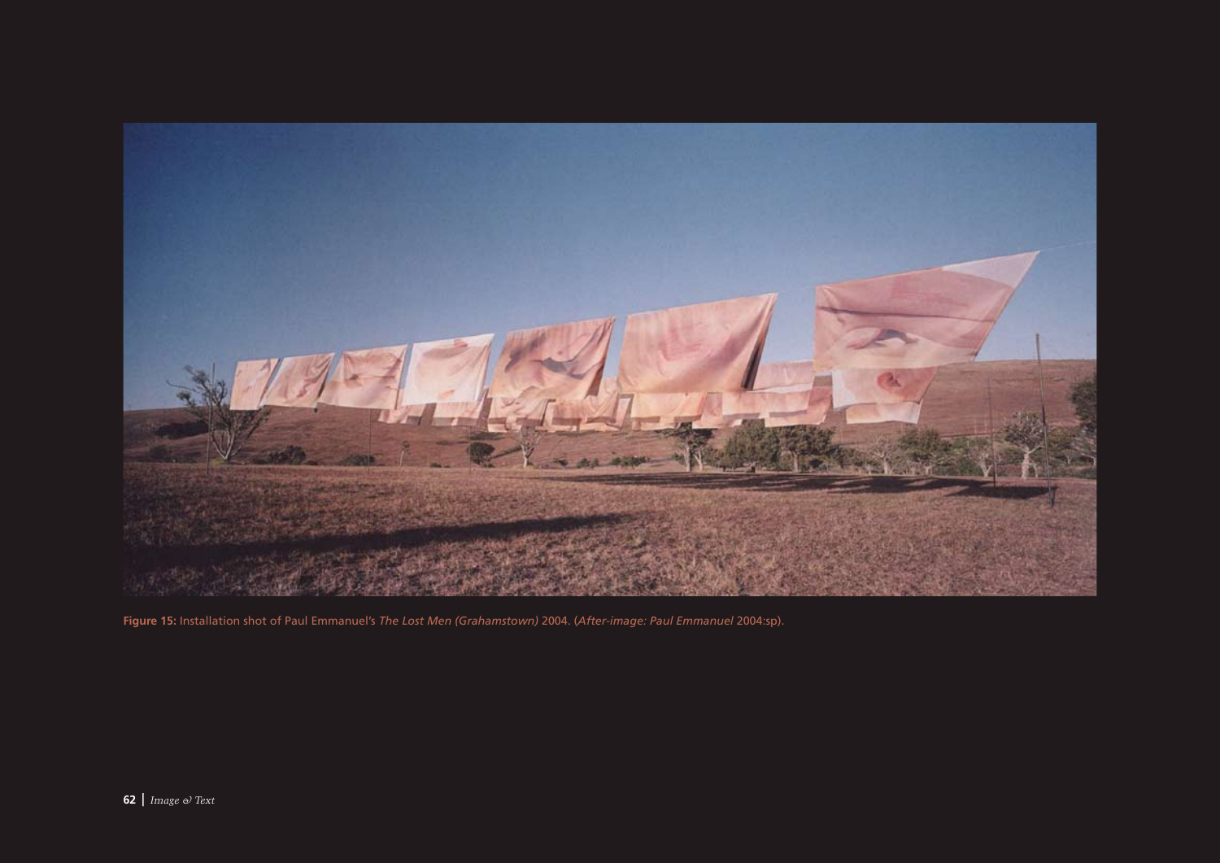

**Figure 15:** Installation shot of Paul Emmanuel's *The Lost Men (Grahamstown)* 2004. (*After-image: Paul Emmanuel* 2004:sp).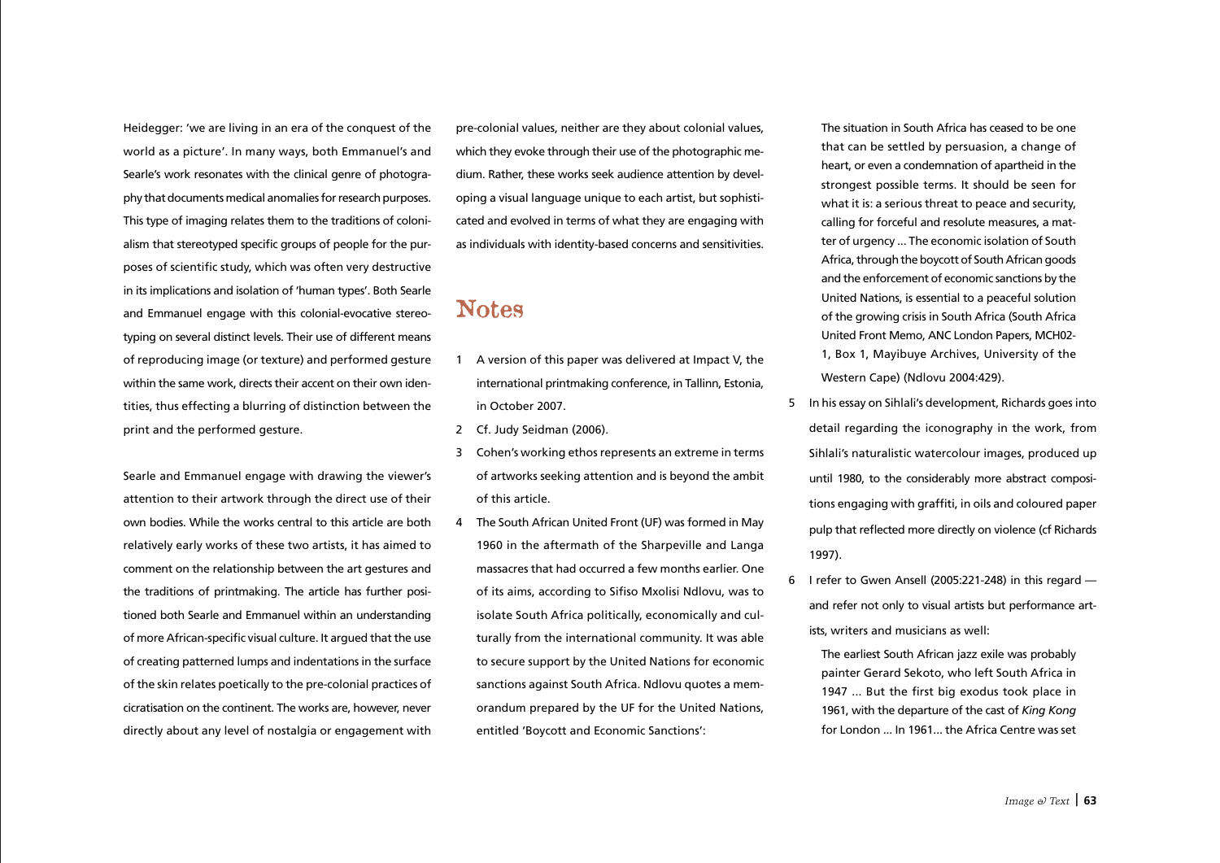Heidegger: 'we are living in an era of the conquest of the world as a picture'. In many ways, both Emmanuel's and Searle's work resonates with the clinical genre of photography that documents medical anomalies for research purposes. This type of imaging relates them to the traditions of colonialism that stereotyped specific groups of people for the purposes of scientific study, which was often very destructive in its implications and isolation of 'human types'. Both Searle and Emmanuel engage with this colonial-evocative stereotyping on several distinct levels. Their use of different means of reproducing image (or texture) and performed gesture within the same work, directs their accent on their own identities, thus effecting a blurring of distinction between the print and the performed gesture.

Searle and Emmanuel engage with drawing the viewer's attention to their artwork through the direct use of their own bodies. While the works central to this article are both relatively early works of these two artists, it has aimed to comment on the relationship between the art gestures and the traditions of printmaking. The article has further positioned both Searle and Emmanuel within an understanding of more African-specific visual culture. It argued that the use of creating patterned lumps and indentations in the surface of the skin relates poetically to the pre-colonial practices of cicratisation on the continent. The works are, however, never directly about any level of nostalgia or engagement with

pre-colonial values, neither are they about colonial values, which they evoke through their use of the photographic medium. Rather, these works seek audience attention by developing a visual language unique to each artist, but sophisticated and evolved in terms of what they are engaging with as individuals with identity-based concerns and sensitivities.

## Notes

- 1 A version of this paper was delivered at Impact V, the international printmaking conference, in Tallinn, Estonia, in October 2007.
- 2 Cf. Judy Seidman (2006).
- 3 Cohen's working ethos represents an extreme in terms of artworks seeking attention and is beyond the ambit of this article.
- 4 The South African United Front (UF) was formed in May 1960 in the aftermath of the Sharpeville and Langa massacres that had occurred a few months earlier. One of its aims, according to Sifiso Mxolisi Ndlovu, was to isolate South Africa politically, economically and culturally from the international community. It was able to secure support by the United Nations for economic sanctions against South Africa. Ndlovu quotes a memorandum prepared by the UF for the United Nations, entitled 'Boycott and Economic Sanctions':

 The situation in South Africa has ceased to be one that can be settled by persuasion, a change of heart, or even a condemnation of apartheid in the strongest possible terms. It should be seen for what it is: a serious threat to peace and security, calling for forceful and resolute measures, a matter of urgency ... The economic isolation of South Africa, through the boycott of South African goods and the enforcement of economic sanctions by the United Nations, is essential to a peaceful solution of the growing crisis in South Africa (South Africa United Front Memo, ANC London Papers, MCH02- 1, Box 1, Mayibuye Archives, University of the Western Cape) (Ndlovu 2004:429).

- 5 In his essay on Sihlali's development, Richards goes into detail regarding the iconography in the work, from Sihlali's naturalistic watercolour images, produced up until 1980, to the considerably more abstract compositions engaging with graffiti, in oils and coloured paper pulp that reflected more directly on violence (cf Richards 1997).
- 6 I refer to Gwen Ansell (2005:221-248) in this regard and refer not only to visual artists but performance artists, writers and musicians as well:
	- The earliest South African jazz exile was probably painter Gerard Sekoto, who left South Africa in 1947 ... But the first big exodus took place in 1961, with the departure of the cast of *King Kong*  for London ... In 1961... the Africa Centre was set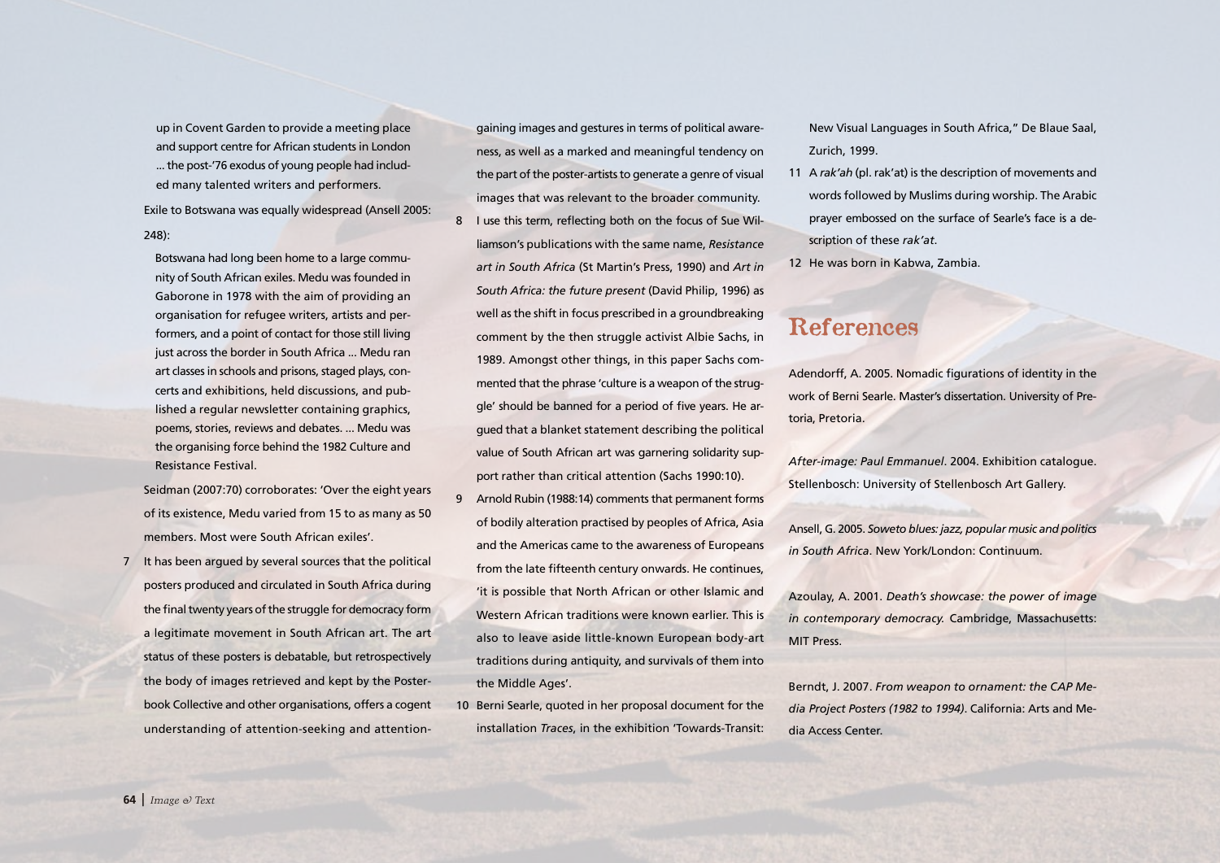up in Covent Garden to provide a meeting place and support centre for African students in London ... the post-'76 exodus of young people had included many talented writers and performers.

Exile to Botswana was equally widespread (Ansell 2005:

## 248):

 Botswana had long been home to a large community of South African exiles. Medu was founded in Gaborone in 1978 with the aim of providing an organisation for refugee writers, artists and performers, and a point of contact for those still living just across the border in South Africa ... Medu ran art classes in schools and prisons, staged plays, concerts and exhibitions, held discussions, and published a regular newsletter containing graphics, poems, stories, reviews and debates. ... Medu was the organising force behind the 1982 Culture and Resistance Festival.

Seidman (2007:70) corroborates: 'Over the eight years of its existence, Medu varied from 15 to as many as 50 members. Most were South African exiles'.

7 It has been argued by several sources that the political posters produced and circulated in South Africa during the final twenty years of the struggle for democracy form a legitimate movement in South African art. The art status of these posters is debatable, but retrospectively the body of images retrieved and kept by the Posterbook Collective and other organisations, offers a cogent understanding of attention-seeking and attention-

gaining images and gestures in terms of political awareness, as well as a marked and meaningful tendency on the part of the poster-artists to generate a genre of visual images that was relevant to the broader community. 8 I use this term, reflecting both on the focus of Sue Williamson's publications with the same name, *Resistance art in South Africa* (St Martin's Press, 1990) and *Art in South Africa: the future present* (David Philip, 1996) as well as the shift in focus prescribed in a groundbreaking comment by the then struggle activist Albie Sachs, in 1989. Amongst other things, in this paper Sachs commented that the phrase 'culture is a weapon of the struggle' should be banned for a period of five years. He argued that a blanket statement describing the political value of South African art was garnering solidarity support rather than critical attention (Sachs 1990:10).

- 9 Arnold Rubin (1988:14) comments that permanent forms of bodily alteration practised by peoples of Africa, Asia and the Americas came to the awareness of Europeans from the late fifteenth century onwards. He continues, 'it is possible that North African or other Islamic and Western African traditions were known earlier. This is also to leave aside little-known European body-art traditions during antiquity, and survivals of them into the Middle Ages'.
- 10 Berni Searle, quoted in her proposal document for the installation *Traces*, in the exhibition 'Towards-Transit:

New Visual Languages in South Africa," De Blaue Saal, Zurich, 1999.

- 11 A *rak'ah* (pl. rak'at) is the description of movements and words followed by Muslims during worship. The Arabic prayer embossed on the surface of Searle's face is a description of these *rak'at*.
- 12 He was born in Kabwa, Zambia.

## References

Adendorff, A. 2005. Nomadic figurations of identity in the work of Berni Searle. Master's dissertation. University of Pretoria, Pretoria.

*After-image: Paul Emmanuel*. 2004. Exhibition catalogue. Stellenbosch: University of Stellenbosch Art Gallery.

Ansell, G. 2005. *Soweto blues: jazz, popular music and politics in South Africa*. New York/London: Continuum.

Azoulay, A. 2001. *Death's showcase: the power of image in contemporary democracy.* Cambridge, Massachusetts: MIT Press.

Berndt, J. 2007. *From weapon to ornament: the CAP Media Project Posters (1982 to 1994)*. California: Arts and Media Access Center.